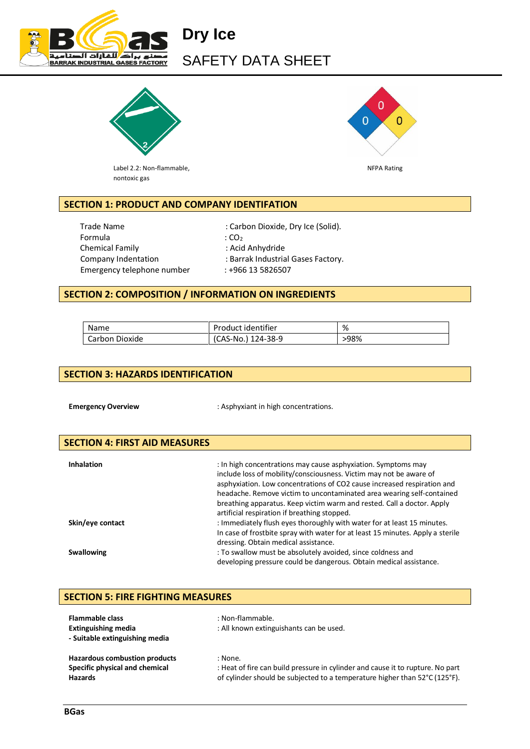

# **Dry Ice** SAFETY DATA SHEET



 $\Omega$  $\overline{0}$  $\mathbf{0}$ 

Label 2.2: Non-flammable, Non-Elementary and NFPA Rating nontoxic gas

# **SECTION 1: PRODUCT AND COMPANY IDENTIFATION**

Trade Name : Carbon Dioxide, Dry Ice (Solid). Formula : CO<sub>2</sub> Chemical Family : Acid Anhydride Emergency telephone number : +966 13 5826507

Company Indentation : Barrak Industrial Gases Factory.

## **SECTION 2: COMPOSITION / INFORMATION ON INGREDIENTS**

| Name           | Product identifier | %    |
|----------------|--------------------|------|
| Carbon Dioxide | (CAS-No.) 124-38-9 | >98% |

### **SECTION 3: HAZARDS IDENTIFICATION**

**Emergency Overview Emergency Overview CONCERCITY EMEX EMEX EMEX EMEX EMEX EMEX EM** 

| <b>SECTION 4: FIRST AID MEASURES</b> |                                                                                                                                     |
|--------------------------------------|-------------------------------------------------------------------------------------------------------------------------------------|
|                                      |                                                                                                                                     |
| <b>Inhalation</b>                    | : In high concentrations may cause asphyxiation. Symptoms may<br>include loss of mobility/consciousness. Victim may not be aware of |
|                                      | asphyxiation. Low concentrations of CO2 cause increased respiration and                                                             |
|                                      | headache. Remove victim to uncontaminated area wearing self-contained                                                               |
|                                      | breathing apparatus. Keep victim warm and rested. Call a doctor. Apply                                                              |
|                                      | artificial respiration if breathing stopped.                                                                                        |
| Skin/eye contact                     | : Immediately flush eyes thoroughly with water for at least 15 minutes.                                                             |
|                                      | In case of frostbite spray with water for at least 15 minutes. Apply a sterile                                                      |
|                                      | dressing. Obtain medical assistance.                                                                                                |
| <b>Swallowing</b>                    | : To swallow must be absolutely avoided, since coldness and                                                                         |
|                                      | developing pressure could be dangerous. Obtain medical assistance.                                                                  |

| <b>SECTION 5: FIRE FIGHTING MEASURES</b>                                                                                   |                                                                                                                                                                         |
|----------------------------------------------------------------------------------------------------------------------------|-------------------------------------------------------------------------------------------------------------------------------------------------------------------------|
| <b>Flammable class</b><br><b>Extinguishing media</b>                                                                       | : Non-flammable.<br>: All known extinguishants can be used.                                                                                                             |
| - Suitable extinguishing media<br><b>Hazardous combustion products</b><br>Specific physical and chemical<br><b>Hazards</b> | : None.<br>: Heat of fire can build pressure in cylinder and cause it to rupture. No part<br>of cylinder should be subjected to a temperature higher than 52°C (125°F). |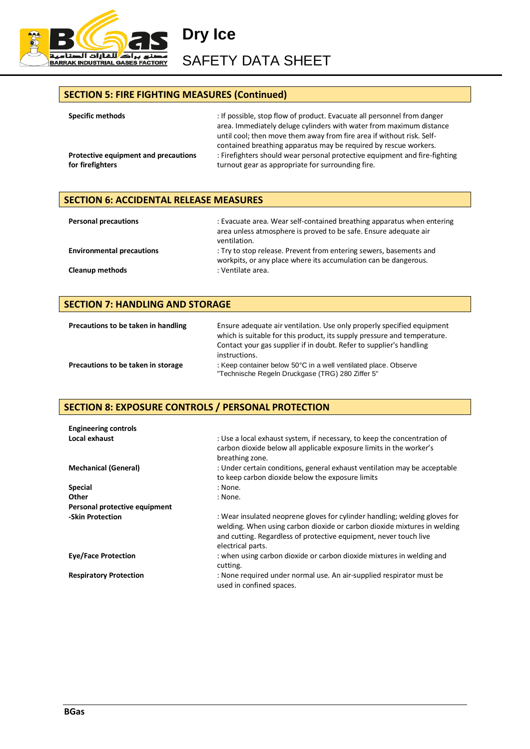

**Dry Ice** SAFETY DATA SHEET

# **SECTION 5: FIRE FIGHTING MEASURES (Continued)**

| <b>Specific methods</b>              | : If possible, stop flow of product. Evacuate all personnel from danger<br>area. Immediately deluge cylinders with water from maximum distance<br>until cool; then move them away from fire area if without risk. Self-<br>contained breathing apparatus may be required by rescue workers. |
|--------------------------------------|---------------------------------------------------------------------------------------------------------------------------------------------------------------------------------------------------------------------------------------------------------------------------------------------|
| Protective equipment and precautions | : Firefighters should wear personal protective equipment and fire-fighting                                                                                                                                                                                                                  |
| for firefighters                     | turnout gear as appropriate for surrounding fire.                                                                                                                                                                                                                                           |

# **SECTION 6: ACCIDENTAL RELEASE MEASURES**

| <b>Personal precautions</b>      | : Evacuate area. Wear self-contained breathing apparatus when entering<br>area unless atmosphere is proved to be safe. Ensure adequate air<br>ventilation. |
|----------------------------------|------------------------------------------------------------------------------------------------------------------------------------------------------------|
| <b>Environmental precautions</b> | : Try to stop release. Prevent from entering sewers, basements and<br>workpits, or any place where its accumulation can be dangerous.                      |
| <b>Cleanup methods</b>           | : Ventilate area.                                                                                                                                          |

| <b>SECTION 7: HANDLING AND STORAGE</b> |                                                                                                                                                                                                                           |  |
|----------------------------------------|---------------------------------------------------------------------------------------------------------------------------------------------------------------------------------------------------------------------------|--|
| Precautions to be taken in handling    | Ensure adequate air ventilation. Use only properly specified equipment<br>which is suitable for this product, its supply pressure and temperature.<br>Contact your gas supplier if in doubt. Refer to supplier's handling |  |
| Precautions to be taken in storage     | instructions.<br>: Keep container below 50°C in a well ventilated place. Observe<br>"Technische Regeln Druckgase (TRG) 280 Ziffer 5"                                                                                      |  |

#### **SECTION 8: EXPOSURE CONTROLS / PERSONAL PROTECTION**

| <b>Engineering controls</b>   |                                                                                                                                                                                                                                                  |
|-------------------------------|--------------------------------------------------------------------------------------------------------------------------------------------------------------------------------------------------------------------------------------------------|
| Local exhaust                 | : Use a local exhaust system, if necessary, to keep the concentration of<br>carbon dioxide below all applicable exposure limits in the worker's<br>breathing zone.                                                                               |
| <b>Mechanical (General)</b>   | : Under certain conditions, general exhaust ventilation may be acceptable<br>to keep carbon dioxide below the exposure limits                                                                                                                    |
| <b>Special</b>                | : None.                                                                                                                                                                                                                                          |
| Other                         | : None.                                                                                                                                                                                                                                          |
| Personal protective equipment |                                                                                                                                                                                                                                                  |
| -Skin Protection              | : Wear insulated neoprene gloves for cylinder handling; welding gloves for<br>welding. When using carbon dioxide or carbon dioxide mixtures in welding<br>and cutting. Regardless of protective equipment, never touch live<br>electrical parts. |
| <b>Eye/Face Protection</b>    | : when using carbon dioxide or carbon dioxide mixtures in welding and<br>cutting.                                                                                                                                                                |
| <b>Respiratory Protection</b> | : None required under normal use. An air-supplied respirator must be<br>used in confined spaces.                                                                                                                                                 |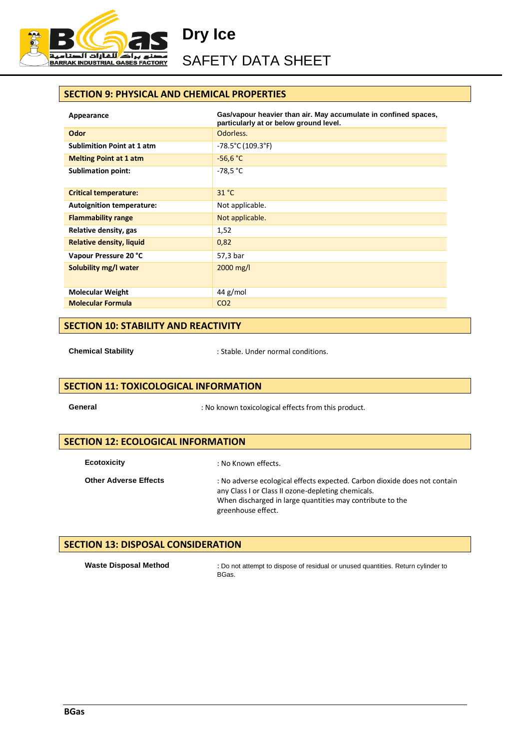

SAFETY DATA SHEET

# **SECTION 9: PHYSICAL AND CHEMICAL PROPERTIES**

**Dry Ice**

| Appearance                        | Gas/vapour heavier than air. May accumulate in confined spaces,<br>particularly at or below ground level. |
|-----------------------------------|-----------------------------------------------------------------------------------------------------------|
| Odor                              | Odorless.                                                                                                 |
| <b>Sublimition Point at 1 atm</b> | $-78.5^{\circ}$ C (109.3 $^{\circ}$ F)                                                                    |
| <b>Melting Point at 1 atm</b>     | $-56,6 °C$                                                                                                |
| <b>Sublimation point:</b>         | $-78.5 °C$                                                                                                |
|                                   |                                                                                                           |
| <b>Critical temperature:</b>      | 31 °C                                                                                                     |
| <b>Autoignition temperature:</b>  | Not applicable.                                                                                           |
| <b>Flammability range</b>         | Not applicable.                                                                                           |
| Relative density, gas             | 1,52                                                                                                      |
| <b>Relative density, liquid</b>   | 0,82                                                                                                      |
| Vapour Pressure 20 °C             | 57,3 bar                                                                                                  |
| Solubility mg/l water             | $2000$ mg/l                                                                                               |
| <b>Molecular Weight</b>           | 44 $g/mol$                                                                                                |
| <b>Molecular Formula</b>          | CO <sub>2</sub>                                                                                           |

### **SECTION 10: STABILITY AND REACTIVITY**

**Chemical Stability** : Stable. Under normal conditions.

# **SECTION 11: TOXICOLOGICAL INFORMATION**

**General** : No known toxicological effects from this product.

| <b>SECTION 12: ECOLOGICAL INFORMATION</b> |                                                                                                                                                                                                                    |
|-------------------------------------------|--------------------------------------------------------------------------------------------------------------------------------------------------------------------------------------------------------------------|
| <b>Ecotoxicity</b>                        | : No Known effects.                                                                                                                                                                                                |
| <b>Other Adverse Effects</b>              | : No adverse ecological effects expected. Carbon dioxide does not contain<br>any Class I or Class II ozone-depleting chemicals.<br>When discharged in large quantities may contribute to the<br>greenhouse effect. |

## **SECTION 13: DISPOSAL CONSIDERATION**

Waste Disposal Method : Do not attempt to dispose of residual or unused quantities. Return cylinder to BGas.